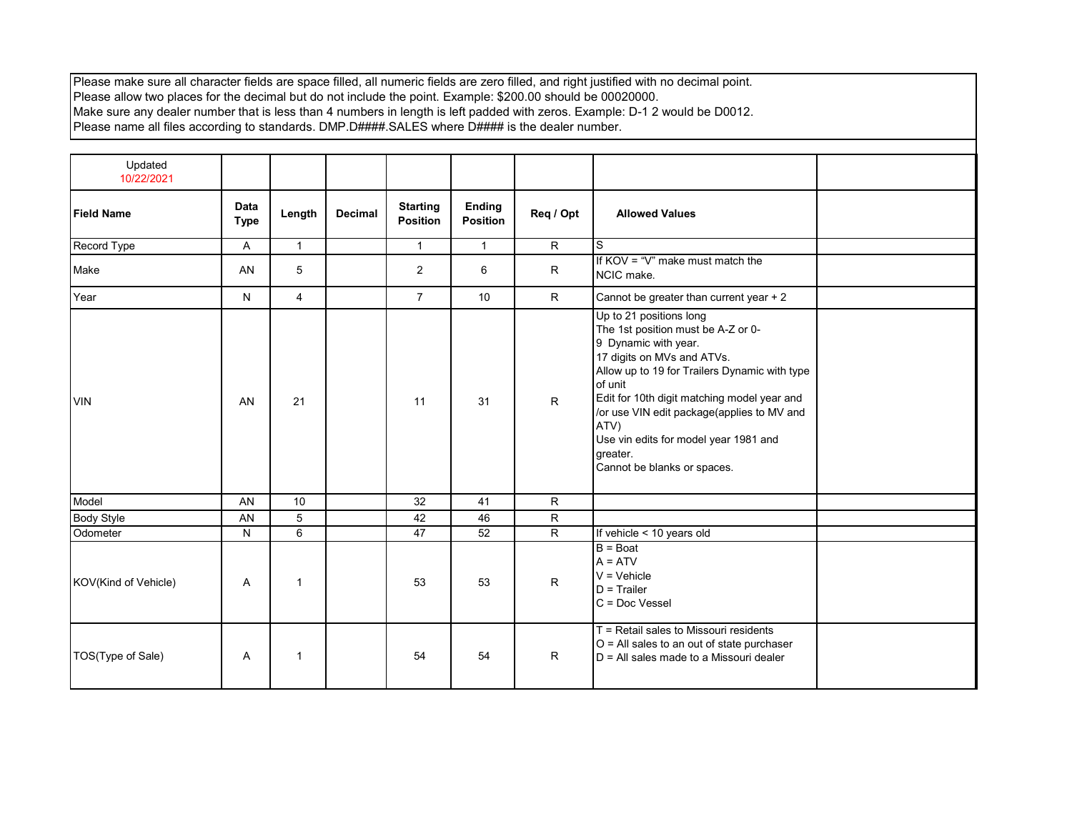Please make sure all character fields are space filled, all numeric fields are zero filled, and right justified with no decimal point. Please allow two places for the decimal but do not include the point. Example: \$200.00 should be 00020000. Make sure any dealer number that is less than 4 numbers in length is left padded with zeros. Example: D-1 2 would be D0012. Please name all files according to standards. DMP.D####.SALES where D#### is the dealer number.

| Updated<br>10/22/2021 |                            |                |                |                                    |                                  |                |                                                                                                                                                                                                                                                                                                                                                                          |
|-----------------------|----------------------------|----------------|----------------|------------------------------------|----------------------------------|----------------|--------------------------------------------------------------------------------------------------------------------------------------------------------------------------------------------------------------------------------------------------------------------------------------------------------------------------------------------------------------------------|
| <b>Field Name</b>     | <b>Data</b><br><b>Type</b> | Length         | <b>Decimal</b> | <b>Starting</b><br><b>Position</b> | <b>Ending</b><br><b>Position</b> | Req / Opt      | <b>Allowed Values</b>                                                                                                                                                                                                                                                                                                                                                    |
| Record Type           | A                          | $\mathbf{1}$   |                | $\mathbf{1}$                       | $\mathbf{1}$                     | $\mathsf{R}$   | S                                                                                                                                                                                                                                                                                                                                                                        |
| Make                  | AN                         | 5              |                | $\overline{2}$                     | 6                                | R              | If $KOV = "V"$ make must match the<br>NCIC make.                                                                                                                                                                                                                                                                                                                         |
| Year                  | N                          | $\overline{4}$ |                | $\overline{7}$                     | 10                               | $\mathsf{R}$   | Cannot be greater than current year + 2                                                                                                                                                                                                                                                                                                                                  |
| <b>VIN</b>            | AN                         | 21             |                | 11                                 | 31                               | $\mathsf{R}$   | Up to 21 positions long<br>The 1st position must be A-Z or 0-<br>9 Dynamic with year.<br>17 digits on MVs and ATVs.<br>Allow up to 19 for Trailers Dynamic with type<br>of unit<br>Edit for 10th digit matching model year and<br>/or use VIN edit package(applies to MV and<br>ATV)<br>Use vin edits for model year 1981 and<br>greater.<br>Cannot be blanks or spaces. |
| Model                 | AN                         | 10             |                | 32                                 | 41                               | $\mathsf{R}$   |                                                                                                                                                                                                                                                                                                                                                                          |
| <b>Body Style</b>     | AN                         | 5              |                | 42                                 | 46                               | R              |                                                                                                                                                                                                                                                                                                                                                                          |
| Odometer              | N                          | 6              |                | 47                                 | 52                               | $\overline{R}$ | If vehicle < 10 years old                                                                                                                                                                                                                                                                                                                                                |
| KOV(Kind of Vehicle)  | Α                          | 1              |                | 53                                 | 53                               | $\mathsf{R}$   | $B = Boat$<br>$A = ATV$<br>$V = V$ ehicle<br>$D = Trailer$<br>$C = Doc Vessel$                                                                                                                                                                                                                                                                                           |
| TOS(Type of Sale)     | Α                          | $\mathbf{1}$   |                | 54                                 | 54                               | R.             | $T$ = Retail sales to Missouri residents<br>$O =$ All sales to an out of state purchaser<br>$D = All$ sales made to a Missouri dealer                                                                                                                                                                                                                                    |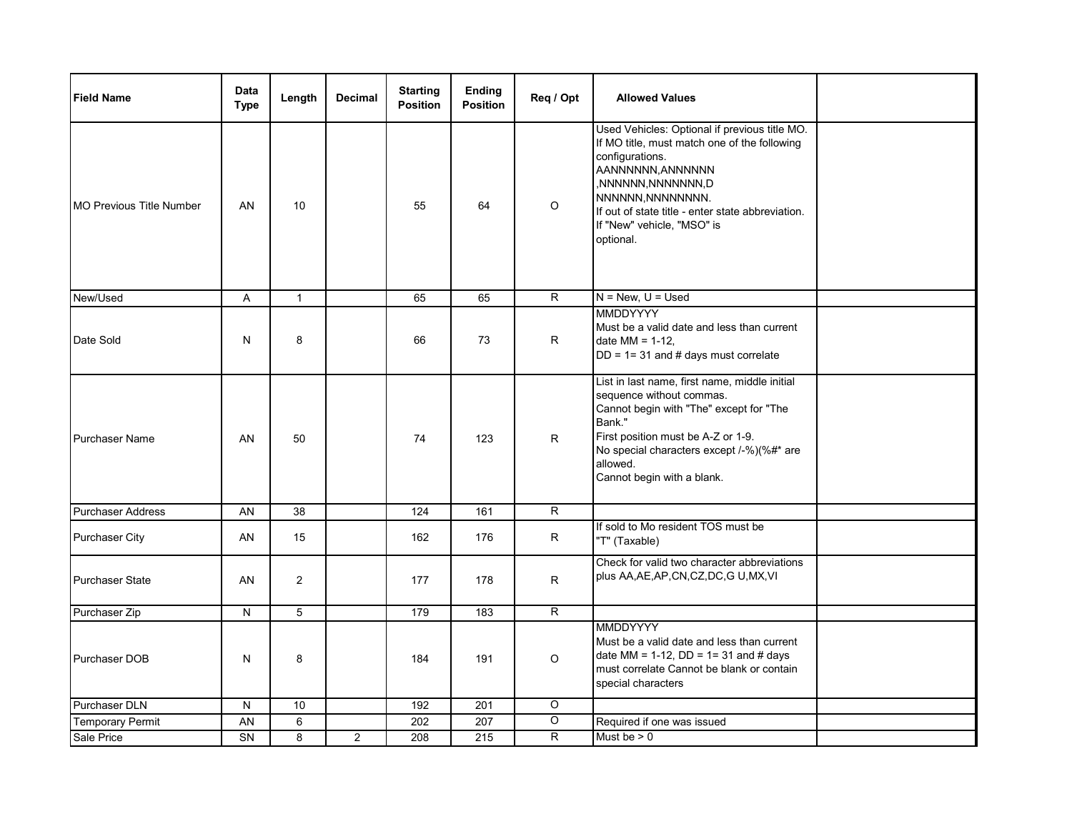| <b>Field Name</b>               | <b>Data</b><br><b>Type</b> | Length         | <b>Decimal</b> | <b>Starting</b><br><b>Position</b> | <b>Ending</b><br><b>Position</b> | Req / Opt               | <b>Allowed Values</b>                                                                                                                                                                                                                                                             |  |
|---------------------------------|----------------------------|----------------|----------------|------------------------------------|----------------------------------|-------------------------|-----------------------------------------------------------------------------------------------------------------------------------------------------------------------------------------------------------------------------------------------------------------------------------|--|
| <b>MO Previous Title Number</b> | AN                         | 10             |                | 55                                 | 64                               | $\circ$                 | Used Vehicles: Optional if previous title MO.<br>If MO title, must match one of the following<br>configurations.<br>AANNNNNN, ANNNNNN<br>, NNNNNN, NNNNNNN, D<br>NNNNNN, NNNNNNNN<br>If out of state title - enter state abbreviation.<br>If "New" vehicle, "MSO" is<br>optional. |  |
| New/Used                        | A                          | $\mathbf{1}$   |                | 65                                 | 65                               | $\overline{R}$          | $N = New, U = Used$                                                                                                                                                                                                                                                               |  |
| Date Sold                       | N                          | 8              |                | 66                                 | 73                               | R                       | <b>MMDDYYYY</b><br>Must be a valid date and less than current<br>date $MM = 1-12$ .<br>$DD = 1 = 31$ and # days must correlate                                                                                                                                                    |  |
| <b>Purchaser Name</b>           | AN                         | 50             |                | 74                                 | 123                              | R.                      | List in last name, first name, middle initial<br>sequence without commas.<br>Cannot begin with "The" except for "The<br>Bank."<br>First position must be A-Z or 1-9.<br>No special characters except /-%)(%#* are<br>allowed.<br>Cannot begin with a blank.                       |  |
| Purchaser Address               | AN                         | 38             |                | 124                                | 161                              | R.                      |                                                                                                                                                                                                                                                                                   |  |
| <b>Purchaser City</b>           | AN                         | 15             |                | 162                                | 176                              | R                       | If sold to Mo resident TOS must be<br>"T" (Taxable)                                                                                                                                                                                                                               |  |
| <b>Purchaser State</b>          | AN                         | $\overline{2}$ |                | 177                                | 178                              | R                       | Check for valid two character abbreviations<br>plus AA, AE, AP, CN, CZ, DC, GU, MX, VI                                                                                                                                                                                            |  |
| Purchaser Zip                   | N                          | 5              |                | 179                                | 183                              | $\overline{R}$          |                                                                                                                                                                                                                                                                                   |  |
| Purchaser DOB                   | N                          | 8              |                | 184                                | 191                              | $\circ$                 | <b>MMDDYYYY</b><br>Must be a valid date and less than current<br>date MM = 1-12, $DD = 1 = 31$ and # days<br>must correlate Cannot be blank or contain<br>special characters                                                                                                      |  |
| Purchaser DLN                   | N                          | 10             |                | 192                                | 201                              | $\circ$                 |                                                                                                                                                                                                                                                                                   |  |
| <b>Temporary Permit</b>         | AN                         | 6              |                | 202                                | 207                              | $\circ$                 | Required if one was issued                                                                                                                                                                                                                                                        |  |
| Sale Price                      | <b>SN</b>                  | 8              | $\overline{2}$ | 208                                | 215                              | $\overline{\mathsf{R}}$ | Must be $> 0$                                                                                                                                                                                                                                                                     |  |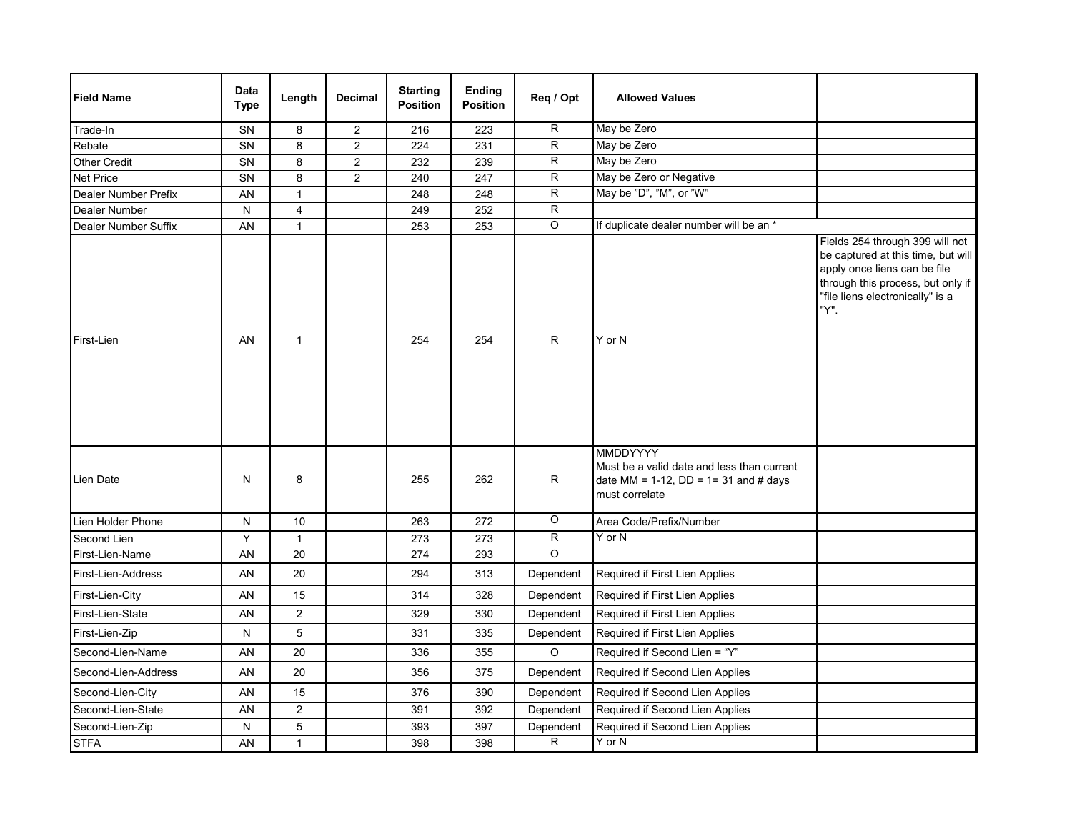| <b>Field Name</b>    | <b>Data</b><br><b>Type</b> | Length         | <b>Decimal</b> | <b>Starting</b><br><b>Position</b> | <b>Ending</b><br><b>Position</b> | Reg / Opt          | <b>Allowed Values</b>                                                                                 |                                                                                                                                                                                        |
|----------------------|----------------------------|----------------|----------------|------------------------------------|----------------------------------|--------------------|-------------------------------------------------------------------------------------------------------|----------------------------------------------------------------------------------------------------------------------------------------------------------------------------------------|
| Trade-In             | SN                         | 8              | $\overline{2}$ | 216                                | 223                              | R                  | May be Zero                                                                                           |                                                                                                                                                                                        |
| Rebate               | SN                         | 8              | $\overline{2}$ | 224                                | 231                              | $\overline{R}$     | May be Zero                                                                                           |                                                                                                                                                                                        |
| Other Credit         | SN                         | 8              | $\overline{c}$ | 232                                | 239                              | R                  | May be Zero                                                                                           |                                                                                                                                                                                        |
| Net Price            | SN                         | 8              | $\overline{a}$ | 240                                | 247                              | R                  | May be Zero or Negative                                                                               |                                                                                                                                                                                        |
| Dealer Number Prefix | AN                         | $\mathbf{1}$   |                | 248                                | 248                              | $\overline{R}$     | May be "D", "M", or "W"                                                                               |                                                                                                                                                                                        |
| Dealer Number        | N                          | $\overline{4}$ |                | 249                                | 252                              | $\overline{R}$     |                                                                                                       |                                                                                                                                                                                        |
| Dealer Number Suffix | AN                         | $\mathbf{1}$   |                | 253                                | 253                              | $\overline{O}$     | If duplicate dealer number will be an *                                                               |                                                                                                                                                                                        |
| First-Lien           | AN                         | $\mathbf{1}$   |                | 254                                | 254                              | R                  | Y or N<br><b>MMDDYYYY</b>                                                                             | Fields 254 through 399 will not<br>be captured at this time, but will<br>apply once liens can be file<br>through this process, but only if<br>"file liens electronically" is a<br>"Y". |
| Lien Date            | N                          | 8              |                | 255                                | 262                              | R                  | Must be a valid date and less than current<br>date MM = 1-12, DD = 1= 31 and # days<br>must correlate |                                                                                                                                                                                        |
| Lien Holder Phone    | N                          | 10             |                | 263                                | 272                              | $\overline{\circ}$ | Area Code/Prefix/Number                                                                               |                                                                                                                                                                                        |
| Second Lien          | Y                          | $\mathbf{1}$   |                | 273                                | 273                              | $\overline{R}$     | Y or N                                                                                                |                                                                                                                                                                                        |
| First-Lien-Name      | AN                         | 20             |                | 274                                | 293                              | $\circ$            |                                                                                                       |                                                                                                                                                                                        |
| First-Lien-Address   | AN                         | 20             |                | 294                                | 313                              | Dependent          | Required if First Lien Applies                                                                        |                                                                                                                                                                                        |
| First-Lien-City      | AN                         | 15             |                | 314                                | 328                              | Dependent          | Required if First Lien Applies                                                                        |                                                                                                                                                                                        |
| First-Lien-State     | AN                         | $\overline{2}$ |                | 329                                | 330                              | Dependent          | Required if First Lien Applies                                                                        |                                                                                                                                                                                        |
| First-Lien-Zip       | N                          | 5              |                | 331                                | 335                              | Dependent          | Required if First Lien Applies                                                                        |                                                                                                                                                                                        |
| Second-Lien-Name     | AN                         | 20             |                | 336                                | 355                              | $\circ$            | Required if Second Lien = "Y"                                                                         |                                                                                                                                                                                        |
| Second-Lien-Address  | AN                         | 20             |                | 356                                | 375                              | Dependent          | Required if Second Lien Applies                                                                       |                                                                                                                                                                                        |
| Second-Lien-City     | AN                         | 15             |                | 376                                | 390                              | Dependent          | Required if Second Lien Applies                                                                       |                                                                                                                                                                                        |
| Second-Lien-State    | AN                         | $\overline{2}$ |                | 391                                | 392                              | Dependent          | Required if Second Lien Applies                                                                       |                                                                                                                                                                                        |
| Second-Lien-Zip      | N                          | 5              |                | 393                                | 397                              | Dependent          | Required if Second Lien Applies                                                                       |                                                                                                                                                                                        |
| <b>STFA</b>          | AN                         | $\mathbf{1}$   |                | 398                                | 398                              | $\overline{R}$     | $Y$ or $N$                                                                                            |                                                                                                                                                                                        |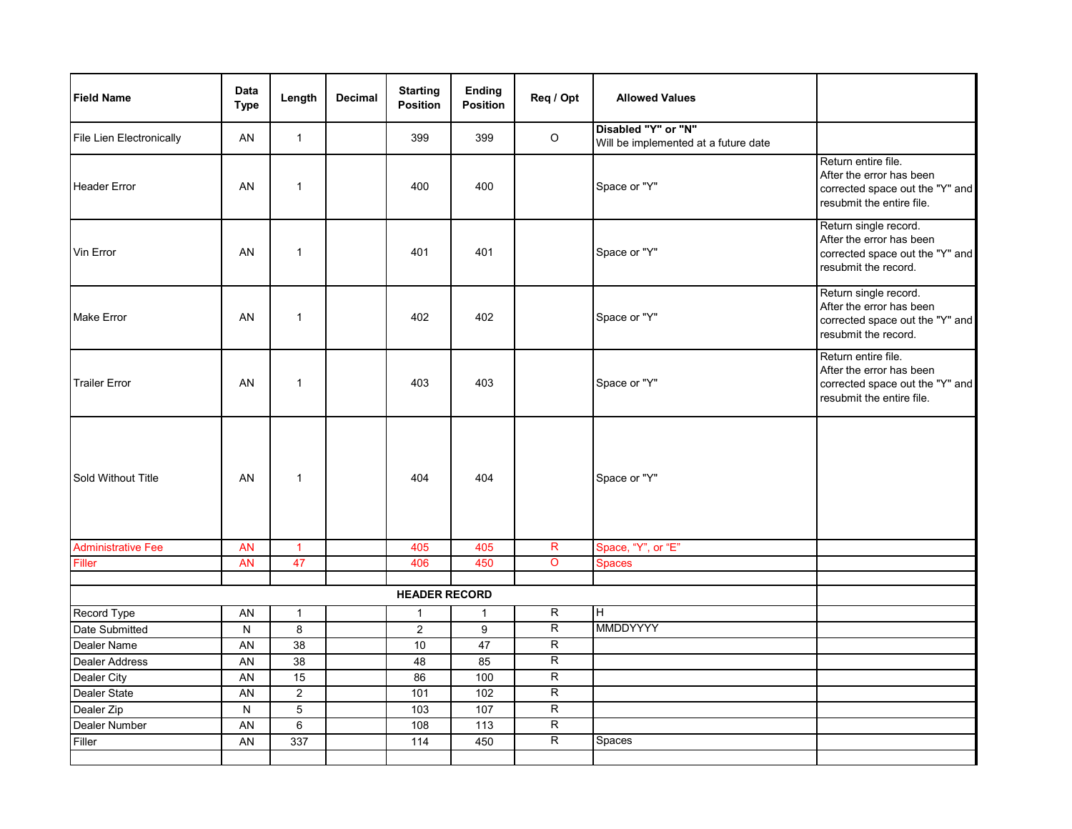| <b>Field Name</b>         | Data<br><b>Type</b> | Length         | <b>Decimal</b> | <b>Starting</b><br><b>Position</b> | Ending<br>Position | Req / Opt      | <b>Allowed Values</b>                                       |                                                                                                                 |
|---------------------------|---------------------|----------------|----------------|------------------------------------|--------------------|----------------|-------------------------------------------------------------|-----------------------------------------------------------------------------------------------------------------|
| File Lien Electronically  | AN                  | $\mathbf{1}$   |                | 399                                | 399                | $\mathsf O$    | Disabled "Y" or "N"<br>Will be implemented at a future date |                                                                                                                 |
| <b>Header Error</b>       | AN                  | $\mathbf{1}$   |                | 400                                | 400                |                | Space or "Y"                                                | Return entire file.<br>After the error has been<br>corrected space out the "Y" and<br>resubmit the entire file. |
| Vin Error                 | AN                  | $\mathbf{1}$   |                | 401                                | 401                |                | Space or "Y"                                                | Return single record.<br>After the error has been<br>corrected space out the "Y" and<br>resubmit the record.    |
| <b>Make Error</b>         | AN                  | $\mathbf{1}$   |                | 402                                | 402                |                | Space or "Y"                                                | Return single record.<br>After the error has been<br>corrected space out the "Y" and<br>resubmit the record.    |
| <b>Trailer Error</b>      | AN                  | $\mathbf{1}$   |                | 403                                | 403                |                | Space or "Y"                                                | Return entire file.<br>After the error has been<br>corrected space out the "Y" and<br>resubmit the entire file. |
| Sold Without Title        | AN                  | $\mathbf{1}$   |                | 404                                | 404                |                | Space or "Y"                                                |                                                                                                                 |
| <b>Administrative Fee</b> | <b>AN</b>           | $\mathbf{1}$   |                | 405                                | 405                | R              | Space, "Y", or "E"                                          |                                                                                                                 |
| Filler                    | <b>AN</b>           | 47             |                | 406                                | 450                | $\overline{O}$ | Spaces                                                      |                                                                                                                 |
|                           |                     |                |                |                                    |                    |                |                                                             |                                                                                                                 |
|                           |                     |                |                | <b>HEADER RECORD</b>               |                    |                |                                                             |                                                                                                                 |
| Record Type               | AN                  | $\mathbf{1}$   |                | $\mathbf{1}$                       | $\mathbf{1}$       | $\overline{R}$ | $\overline{H}$                                              |                                                                                                                 |
| Date Submitted            | $\overline{N}$      | $\overline{8}$ |                | $\overline{2}$                     | 9                  | $\overline{R}$ | <b>MMDDYYYY</b>                                             |                                                                                                                 |
| Dealer Name               | <b>AN</b>           | 38             |                | 10                                 | 47                 | $\overline{R}$ |                                                             |                                                                                                                 |
| <b>Dealer Address</b>     | AN                  | 38             |                | 48                                 | 85                 | $\overline{R}$ |                                                             |                                                                                                                 |
| Dealer City               | AN                  | 15             |                | 86                                 | 100                | $\overline{R}$ |                                                             |                                                                                                                 |
| Dealer State              | <b>AN</b>           | $\overline{2}$ |                | 101                                | 102                | $\overline{R}$ |                                                             |                                                                                                                 |
| Dealer Zip                | ${\sf N}$           | $\overline{5}$ |                | $\frac{103}{2}$                    | 107                | R              |                                                             |                                                                                                                 |
| Dealer Number             | AN                  | $\overline{6}$ |                | 108                                | 113                | $\overline{R}$ |                                                             |                                                                                                                 |
| Filler                    | AN                  | 337            |                | 114                                | 450                | $\overline{R}$ | Spaces                                                      |                                                                                                                 |
|                           |                     |                |                |                                    |                    |                |                                                             |                                                                                                                 |